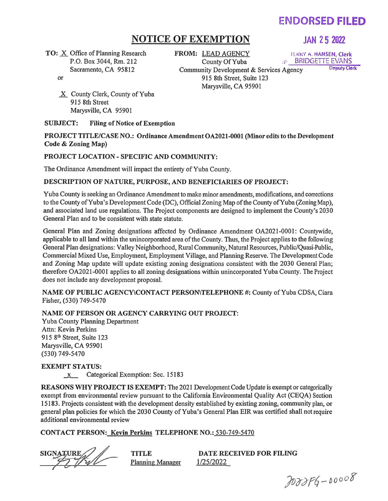# **ENDORSED FILED**

## **NOTICE OF EXEMPTION JAN 2 5 2022**

TO: X Office of Planning Research P.O. Box 3044, Rm. 212 Sacramento, CA 95812

or

**FROM:** LEAD AGENCY 1 ERRY A. HANSEN, Clerk<br>County Of Yuba 3 . BRIDGETTE EVANS

County BRIDGETTE EVANS

Community Development & Services Agency 915 8th Street, Suite 123 Marysville, CA 95901

X County Clerk, County of Yuba 915 8th Street Marysville, CA 95901

SUBJECT: Filing of Notice of Exemption

PROJECT TITLE/CASE NO.: Ordinance Amendment OA2021-0001 (Minor edits to the Development Code & Zoning Map)

#### PROJECT LOCATION- SPECIFIC AND COMMUNITY:

The Ordinance Amendment will impact the entirety of Yuba County.

#### DESCRIPTION OF NATURE, PURPOSE, AND BENEFICIARIES OF PROJECT:

Yuba County is seeking an Ordinance Amendment to make minor amendments, modifications, and corrections to the County of Yuba's Development Code (DC), Official Zoning Map of the County of Yuba (Zoning Map), and associated land use regulations. The Project components are designed to implement the County's 2030 General Plan and to be consistent with state statute.

General Plan and Zoning designations affected by Ordinance Amendment OA2021-0001: Countywide, applicable to all land within the unincorporated area of the County. Thus, the Project applies to the following General Plan designations: Valley Neighborhood, Rural Community, Natural Resources, Public/Quasi-Public, Commercial Mixed Use, Employment, Employment Village, and Planning Reserve. The Development Code and Zoning Map update will update existing zoning designations consistent with the 2030 General Plan; therefore OA2021-0001 applies to all zoning designations within unincorporated Yuba County. The Project does not include any development proposal.

NAME OF PUBLIC AGENCY\CONTACT PERSON\TELEPHONE #:County of Yuba CDSA, Ciara Fisher, (530) 749-5470

### NAME OF PERSON OR AGENCY CARRYING OUT PROJECT:

Yuba County Planning Department Attn: Kevin Perkins 915 8<sup>th</sup> Street, Suite 123 Marysville, CA 95901 (530) 749-5470

EXEMPT STATUS:

x Categorical Exemption: Sec. 15183

REASONS WHY PROJECT IS EXEMPT: The 2021 Development Code Update is exempt or categorically exempt from environmental review pursuant to the California Environmental Quality Act (CEQA) Section 15183. Projects consistent with the development density established by existing zoning, community plan, or general plan policies for which the 2030 County of Yuba's General Plan EIR was certified shall not require additional environmental review

#### CONTACT PERSON: Kevin Perkins TELEPHONE NO.: 530-749-5470

SIGNATURE

**TITLE** Planning Manager

DATE RECEIVED FOR FILING 1/25/2022

 $200086 - 00008$